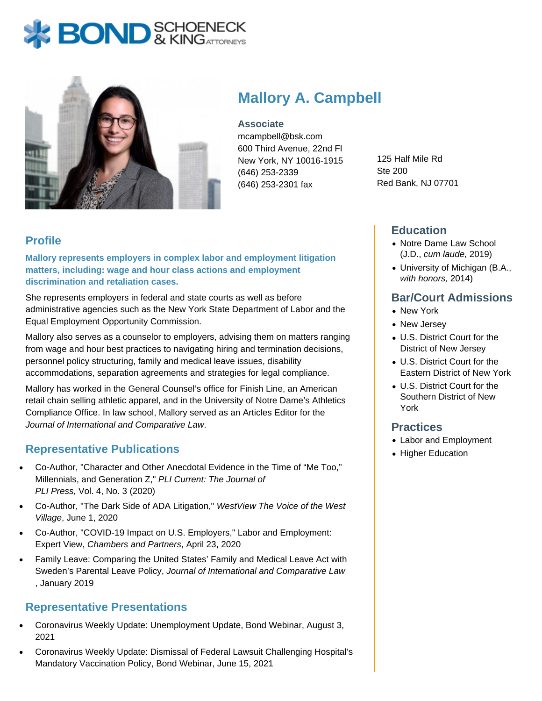



# **Mallory A. Campbell**

**Associate** mcampbell@bsk.com

600 Third Avenue, 22nd Fl New York, NY 10016-1915 (646) 253-2339 (646) 253-2301 fax

125 Half Mile Rd Ste 200 Red Bank, NJ 07701

## **Profile**

**Mallory represents employers in complex labor and employment litigation matters, including: wage and hour class actions and employment discrimination and retaliation cases.**

She represents employers in federal and state courts as well as before administrative agencies such as the New York State Department of Labor and the Equal Employment Opportunity Commission.

Mallory also serves as a counselor to employers, advising them on matters ranging from wage and hour best practices to navigating hiring and termination decisions, personnel policy structuring, family and medical leave issues, disability accommodations, separation agreements and strategies for legal compliance.

Mallory has worked in the General Counsel's office for Finish Line, an American retail chain selling athletic apparel, and in the University of Notre Dame's Athletics Compliance Office. In law school, Mallory served as an Articles Editor for the Journal of International and Comparative Law.

#### **Representative Publications**

- Co-Author, "Character and Other Anecdotal Evidence in the Time of "Me Too," Millennials, and Generation Z," PLI Current: The Journal of PLI Press, Vol. 4, No. 3 (2020)
- Co-Author, "The Dark Side of ADA Litigation," WestView The Voice of the West Village, June 1, 2020
- Co-Author, "COVID-19 Impact on U.S. Employers," Labor and Employment: Expert View, Chambers and Partners, April 23, 2020
- Family Leave: Comparing the United States' Family and Medical Leave Act with Sweden's Parental Leave Policy, Journal of International and Comparative Law , January 2019

#### **Representative Presentations**

- Coronavirus Weekly Update: Unemployment Update, Bond Webinar, August 3, 2021
- Coronavirus Weekly Update: Dismissal of Federal Lawsuit Challenging Hospital's Mandatory Vaccination Policy, Bond Webinar, June 15, 2021

#### **Education**

- Notre Dame Law School (J.D., cum laude, 2019)
- University of Michigan (B.A., with honors, 2014)

### **Bar/Court Admissions**

- New York
- New Jersey
- U.S. District Court for the District of New Jersey
- U.S. District Court for the Eastern District of New York
- U.S. District Court for the Southern District of New York

#### **Practices**

- Labor and Employment
- Higher Education